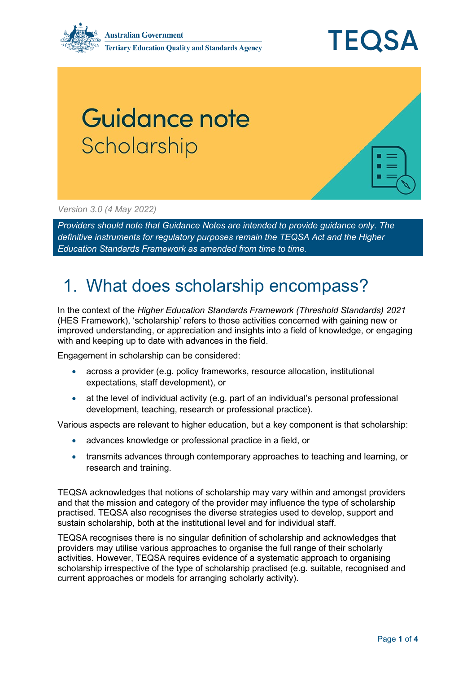

## Guidance note Scholarship

*Version 3.0 (4 May 2022)*

*Providers should note that Guidance Notes are intended to provide guidance only. The definitive instruments for regulatory purposes remain the TEQSA Act and the Higher Education Standards Framework as amended from time to time.*

## 1. What does scholarship encompass?

In the context of the *Higher Education Standards Framework (Threshold Standards) 2021* (HES Framework), 'scholarship' refers to those activities concerned with gaining new or improved understanding, or appreciation and insights into a field of knowledge, or engaging with and keeping up to date with advances in the field.

Engagement in scholarship can be considered:

- across a provider (e.g. policy frameworks, resource allocation, institutional expectations, staff development), or
- at the level of individual activity (e.g. part of an individual's personal professional development, teaching, research or professional practice).

Various aspects are relevant to higher education, but a key component is that scholarship:

- advances knowledge or professional practice in a field, or
- transmits advances through contemporary approaches to teaching and learning, or research and training.

TEQSA acknowledges that notions of scholarship may vary within and amongst providers and that the mission and category of the provider may influence the type of scholarship practised. TEQSA also recognises the diverse strategies used to develop, support and sustain scholarship, both at the institutional level and for individual staff.

TEQSA recognises there is no singular definition of scholarship and acknowledges that providers may utilise various approaches to organise the full range of their scholarly activities. However, TEQSA requires evidence of a systematic approach to organising scholarship irrespective of the type of scholarship practised (e.g. suitable, recognised and current approaches or models for arranging scholarly activity).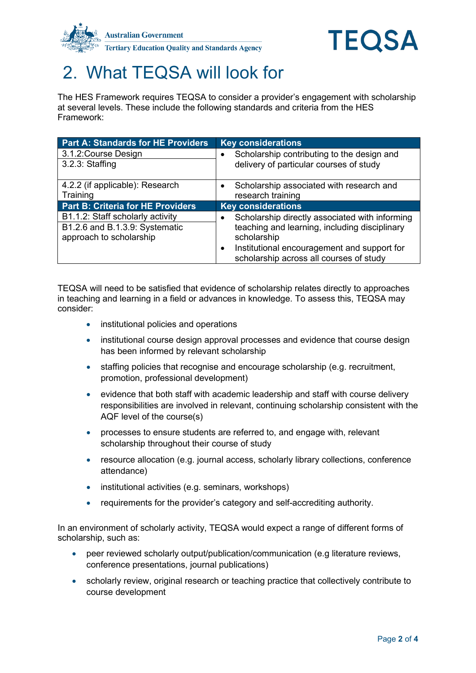



## 2. What TEQSA will look for

The HES Framework requires TEQSA to consider a provider's engagement with scholarship at several levels. These include the following standards and criteria from the HES Framework:

| <b>Part A: Standards for HE Providers</b> | <b>Key considerations</b>                      |
|-------------------------------------------|------------------------------------------------|
| 3.1.2: Course Design                      | Scholarship contributing to the design and     |
| $3.2.3$ : Staffing                        | delivery of particular courses of study        |
|                                           |                                                |
| 4.2.2 (if applicable): Research           | Scholarship associated with research and       |
| Training                                  | research training                              |
| <b>Part B: Criteria for HE Providers</b>  | <b>Key considerations</b>                      |
| B1.1.2: Staff scholarly activity          | Scholarship directly associated with informing |
| B1.2.6 and B.1.3.9: Systematic            | teaching and learning, including disciplinary  |
| approach to scholarship                   | scholarship                                    |
|                                           | Institutional encouragement and support for    |
|                                           | scholarship across all courses of study        |

TEQSA will need to be satisfied that evidence of scholarship relates directly to approaches in teaching and learning in a field or advances in knowledge. To assess this, TEQSA may consider:

- institutional policies and operations
- institutional course design approval processes and evidence that course design has been informed by relevant scholarship
- staffing policies that recognise and encourage scholarship (e.g. recruitment, promotion, professional development)
- evidence that both staff with academic leadership and staff with course delivery responsibilities are involved in relevant, continuing scholarship consistent with the AQF level of the course(s)
- processes to ensure students are referred to, and engage with, relevant scholarship throughout their course of study
- resource allocation (e.g. journal access, scholarly library collections, conference attendance)
- institutional activities (e.g. seminars, workshops)
- requirements for the provider's category and self-accrediting authority.

In an environment of scholarly activity, TEQSA would expect a range of different forms of scholarship, such as:

- peer reviewed scholarly output/publication/communication (e.g literature reviews, conference presentations, journal publications)
- scholarly review, original research or teaching practice that collectively contribute to course development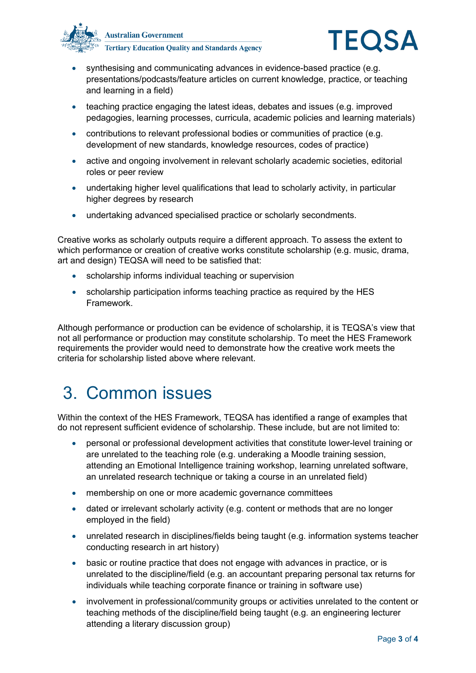



- synthesising and communicating advances in evidence-based practice (e.g. presentations/podcasts/feature articles on current knowledge, practice, or teaching and learning in a field)
- teaching practice engaging the latest ideas, debates and issues (e.g. improved pedagogies, learning processes, curricula, academic policies and learning materials)
- contributions to relevant professional bodies or communities of practice (e.g. development of new standards, knowledge resources, codes of practice)
- active and ongoing involvement in relevant scholarly academic societies, editorial roles or peer review
- undertaking higher level qualifications that lead to scholarly activity, in particular higher degrees by research
- undertaking advanced specialised practice or scholarly secondments.

Creative works as scholarly outputs require a different approach. To assess the extent to which performance or creation of creative works constitute scholarship (e.g. music, drama, art and design) TEQSA will need to be satisfied that:

- scholarship informs individual teaching or supervision
- scholarship participation informs teaching practice as required by the HES Framework.

Although performance or production can be evidence of scholarship, it is TEQSA's view that not all performance or production may constitute scholarship. To meet the HES Framework requirements the provider would need to demonstrate how the creative work meets the criteria for scholarship listed above where relevant.

## 3. Common issues

Within the context of the HES Framework, TEQSA has identified a range of examples that do not represent sufficient evidence of scholarship. These include, but are not limited to:

- personal or professional development activities that constitute lower-level training or are unrelated to the teaching role (e.g. underaking a Moodle training session, attending an Emotional Intelligence training workshop, learning unrelated software, an unrelated research technique or taking a course in an unrelated field)
- membership on one or more academic governance committees
- dated or irrelevant scholarly activity (e.g. content or methods that are no longer employed in the field)
- unrelated research in disciplines/fields being taught (e.g. information systems teacher conducting research in art history)
- basic or routine practice that does not engage with advances in practice, or is unrelated to the discipline/field (e.g. an accountant preparing personal tax returns for individuals while teaching corporate finance or training in software use)
- involvement in professional/community groups or activities unrelated to the content or teaching methods of the discipline/field being taught (e.g. an engineering lecturer attending a literary discussion group)